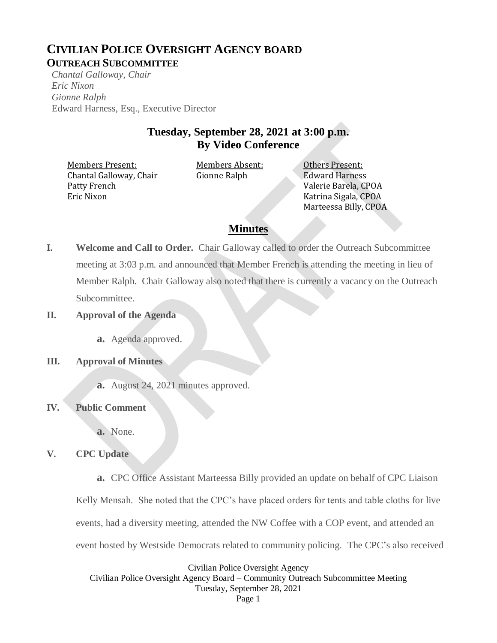## **CIVILIAN POLICE OVERSIGHT AGENCY BOARD OUTREACH SUBCOMMITTEE**

*Chantal Galloway, Chair Eric Nixon Gionne Ralph* Edward Harness, Esq., Executive Director

## **Tuesday, September 28, 2021 at 3:00 p.m. By Video Conference**

Members Present: Members Absent: 0thers Present: Chantal Galloway, Chair Patty French Eric Nixon

Gionne Ralph Edward Harness

Valerie Barela, CPOA Katrina Sigala, CPOA Marteessa Billy, CPOA

# **Minutes**

**I. Welcome and Call to Order.** Chair Galloway called to order the Outreach Subcommittee meeting at 3:03 p.m. and announced that Member French is attending the meeting in lieu of Member Ralph. Chair Galloway also noted that there is currently a vacancy on the Outreach Subcommittee.

## **II. Approval of the Agenda**

**a.** Agenda approved.

## **III. Approval of Minutes**

**a.** August 24, 2021 minutes approved.

## **IV. Public Comment**

**a.** None.

## **V. CPC Update**

**a.** CPC Office Assistant Marteessa Billy provided an update on behalf of CPC Liaison

Kelly Mensah. She noted that the CPC's have placed orders for tents and table cloths for live

events, had a diversity meeting, attended the NW Coffee with a COP event, and attended an

event hosted by Westside Democrats related to community policing. The CPC's also received

Civilian Police Oversight Agency Civilian Police Oversight Agency Board – Community Outreach Subcommittee Meeting Tuesday, September 28, 2021 Page 1